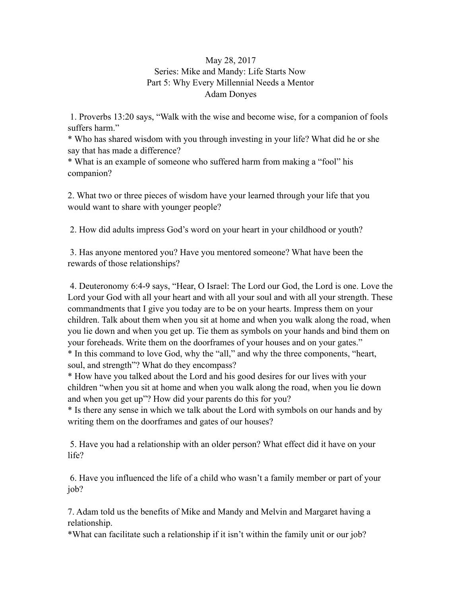## May 28, 2017 Series: Mike and Mandy: Life Starts Now Part 5: Why Every Millennial Needs a Mentor Adam Donyes

 1. Proverbs 13:20 says, "Walk with the wise and become wise, for a companion of fools suffers harm."

\* Who has shared wisdom with you through investing in your life? What did he or she say that has made a difference?

\* What is an example of someone who suffered harm from making a "fool" his companion?

2. What two or three pieces of wisdom have your learned through your life that you would want to share with younger people?

2. How did adults impress God's word on your heart in your childhood or youth?

 3. Has anyone mentored you? Have you mentored someone? What have been the rewards of those relationships?

 4. Deuteronomy 6:4-9 says, "Hear, O Israel: The Lord our God, the Lord is one. Love the Lord your God with all your heart and with all your soul and with all your strength. These commandments that I give you today are to be on your hearts. Impress them on your children. Talk about them when you sit at home and when you walk along the road, when you lie down and when you get up. Tie them as symbols on your hands and bind them on your foreheads. Write them on the doorframes of your houses and on your gates." \* In this command to love God, why the "all," and why the three components, "heart, soul, and strength"? What do they encompass?

\* How have you talked about the Lord and his good desires for our lives with your children "when you sit at home and when you walk along the road, when you lie down and when you get up"? How did your parents do this for you?

\* Is there any sense in which we talk about the Lord with symbols on our hands and by writing them on the doorframes and gates of our houses?

 5. Have you had a relationship with an older person? What effect did it have on your life?

 6. Have you influenced the life of a child who wasn't a family member or part of your job?

7. Adam told us the benefits of Mike and Mandy and Melvin and Margaret having a relationship.

\*What can facilitate such a relationship if it isn't within the family unit or our job?